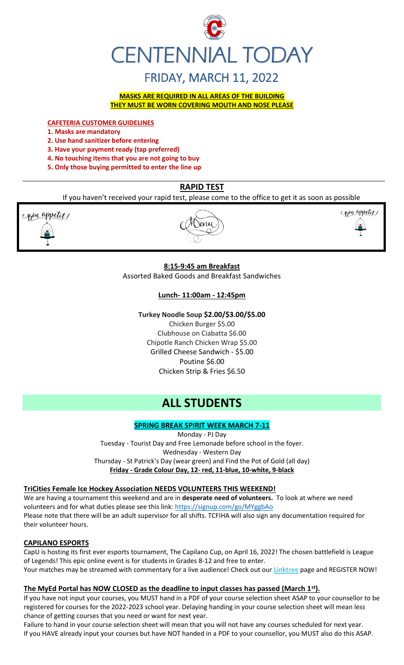

# FRIDAY, MARCH 11, 2022

**MASKS ARE REQUIRED IN ALL AREAS OF THE BUILDING THEY MUST BE WORN COVERING MOUTH AND NOSE PLEASE**

**CAFETERIA CUSTOMER GUIDELINES**

- **1. Masks are mandatory**
- **2. Use hand sanitizer before entering**
- **3. Have your payment ready (tap preferred)**
- **4. No touching items that you are not going to buy**
- **5. Only those buying permitted to enter the line up**

#### **RAPID TEST**

If you haven't received your rapid test, please come to the office to get it as soon as possible



Senu



#### **8:15-9:45 am Breakfast**

Assorted Baked Goods and Breakfast Sandwiches

#### **Lunch- 11:00am - 12:45pm**

#### **Turkey Noodle Soup \$2.00/\$3.00/\$5.00**

Chicken Burger \$5.00 Clubhouse on Ciabatta \$6.00 Chipotle Ranch Chicken Wrap \$5.00 Grilled Cheese Sandwich - \$5.00 Poutine \$6.00 Chicken Strip & Fries \$6.50

### **ALL STUDENTS**

#### **SPRING BREAK SPIRIT WEEK MARCH 7-11**

Monday - PJ Day Tuesday - Tourist Day and Free Lemonade before school in the foyer. Wednesday - Western Day Thursday - St Patrick's Day (wear green) and Find the Pot of Gold (all day) **Friday - Grade Colour Day, 12- red, 11-blue, 10-white, 9-black**

#### **TriCities Female Ice Hockey Association NEEDS VOLUNTEERS THIS WEEKEND!**

We are having a tournament this weekend and are in **desperate need of volunteers.** To look at where we need volunteers and for what duties please see this link:<https://signup.com/go/MYggbAo> Please note that there will be an adult supervisor for all shifts. TCFIHA will also sign any documentation required for their volunteer hours.

#### **CAPILANO ESPORTS**

CapU is hosting its first ever esports tournament, The Capilano Cup, on April 16, 2022! The chosen battlefield is League of Legends! This epic online event is for students in Grades 8-12 and free to enter. Your matches may be streamed with commentary for a live audience! Check out our **[Linktree](https://r20.rs6.net/tn.jsp?f=001TV5t6hvFEFpmqZ2KIJsRm_8_tZvmBTskK5EZhuhAwnd-AsBblXHT0oLCkv240W_X6yn70vNSoZMhpHydzQFokmFJte1QihkOmWyHEEdpefQQkF2m95hL64lqlrIm0DP1OmyM7kg-aupFxN5c0Zflag==&c=xWxYCxrh0jI56wNEyWlUltDjoDxbuS7cAkcm-CGdbhXD_wkXysw4wQ==&ch=hXVfGtAgW-ZP40ONb-DXcfozpnjfYR8-9naNHp1boINpgvZcTLJVsw==)** page and REGISTER NOW!

#### **The MyEd Portal has NOW CLOSED as the deadline to input classes has passed (March 1st).**

If you have not input your courses, you MUST hand in a PDF of your course selection sheet ASAP to your counsellor to be registered for courses for the 2022-2023 school year. Delaying handing in your course selection sheet will mean less chance of getting courses that you need or want for next year.

Failure to hand in your course selection sheet will mean that you will not have any courses scheduled for next year. If you HAVE already input your courses but have NOT handed in a PDF to your counsellor, you MUST also do this ASAP.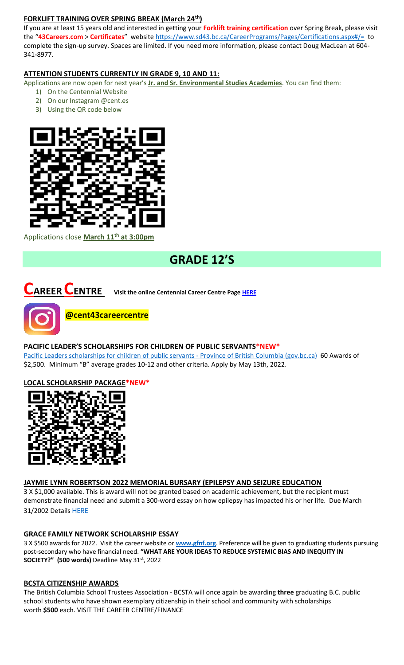#### **FORKLIFT TRAINING OVER SPRING BREAK (March 24th)**

If you are at least 15 years old and interested in getting your **Forklift training certification** over Spring Break, please visit the "**43Careers.com** > **Certificates**" websit[e https://www.sd43.bc.ca/CareerPrograms/Pages/Certifications.aspx#/=](https://www.sd43.bc.ca/CareerPrograms/Pages/Certifications.aspx#/=) to complete the sign-up survey. Spaces are limited. If you need more information, please contact Doug MacLean at 604- 341-8977.

#### **ATTENTION STUDENTS CURRENTLY IN GRADE 9, 10 AND 11:**

Applications are now open for next year's **Jr. and Sr. Environmental Studies Academies**. You can find them:

- 1) On the Centennial Website
- 2) On our Instagram @cent.es
- 3) Using the QR code below



Applications close **March 11th at 3:00pm**

# **GRADE 12'S**

**CAREER CENTRE Visit the online Centennial Career Centre Page [HERE](https://www.sd43.bc.ca/school/centennial/ProgramsServices/CareerCentre/experiences/Pages/default.aspx#/=)**



#### **PACIFIC LEADER'S SCHOLARSHIPS FOR CHILDREN OF PUBLIC SERVANTS\*NEW\***

[Pacific Leaders scholarships for children of public servants -](https://www2.gov.bc.ca/gov/content/careers-myhr/all-employees/career-development/pacific-leaders/scholarships-for-children) Province of British Columbia (gov.bc.ca) 60 Awards of \$2,500. Minimum "B" average grades 10-12 and other criteria. Apply by May 13th, 2022.

#### **LOCAL SCHOLARSHIP PACKAGE\*NEW\***



#### **JAYMIE LYNN ROBERTSON 2022 MEMORIAL BURSARY (EPILEPSY AND SEIZURE EDUCATION**

3 X \$1,000 available. This is award will not be granted based on academic achievement, but the recipient must demonstrate financial need and submit a 300-word essay on how epilepsy has impacted his or her life. Due March 31/2002 Details [HERE](https://www.sd43.bc.ca/school/centennial/ProgramsServices/CareerCentre/financeawards/Pages/default.aspx#/=)

#### **GRACE FAMILY NETWORK SCHOLARSHIP ESSAY**

3 X \$500 awards for 2022. Visit the career website or **[www.gfnf.org](http://www.gfnf.org/)**. Preference will be given to graduating students pursuing post-secondary who have financial need. **"WHAT ARE YOUR IDEAS TO REDUCE SYSTEMIC BIAS AND INEQUITY IN SOCIETY?" (500 words)** Deadline May 31st, 2022

#### **BCSTA CITIZENSHIP AWARDS**

The British Columbia School Trustees Association - BCSTA will once again be awarding **three** graduating B.C. public school students who have shown exemplary citizenship in their school and community with scholarships worth **\$500** each. VISIT THE CAREER CENTRE/FINANCE